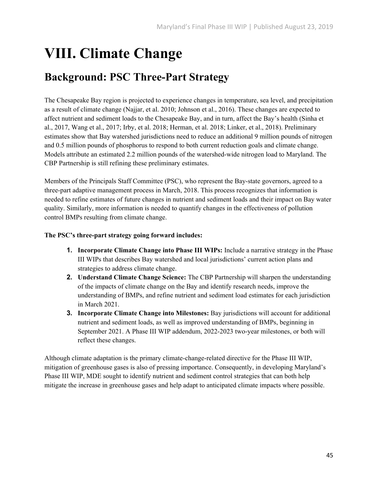# **VIII. Climate Change**

## **Background: PSC Three-Part Strategy**

The Chesapeake Bay region is projected to experience changes in temperature, sea level, and precipitation as a result of climate change (Najjar, et al. 2010; Johnson et al., 2016). These changes are expected to affect nutrient and sediment loads to the Chesapeake Bay, and in turn, affect the Bay's health (Sinha et al., 2017, Wang et al., 2017; Irby, et al. 2018; Herman, et al. 2018; Linker, et al., 2018). Preliminary estimates show that Bay watershed jurisdictions need to reduce an additional 9 million pounds of nitrogen and 0.5 million pounds of phosphorus to respond to both current reduction goals and climate change. Models attribute an estimated 2.2 million pounds of the watershed-wide nitrogen load to Maryland. The CBP Partnership is still refining these preliminary estimates.

Members of the Principals Staff Committee (PSC), who represent the Bay-state governors, agreed to a three-part adaptive management process in March, 2018. This process recognizes that information is needed to refine estimates of future changes in nutrient and sediment loads and their impact on Bay water quality. Similarly, more information is needed to quantify changes in the effectiveness of pollution control BMPs resulting from climate change.

#### **The PSC's three-part strategy going forward includes:**

- **1. Incorporate Climate Change into Phase III WIPs:** Include a narrative strategy in the Phase III WIPs that describes Bay watershed and local jurisdictions' current action plans and strategies to address climate change.
- **2. Understand Climate Change Science:** The CBP Partnership will sharpen the understanding of the impacts of climate change on the Bay and identify research needs, improve the understanding of BMPs, and refine nutrient and sediment load estimates for each jurisdiction in March 2021.
- **3. Incorporate Climate Change into Milestones:** Bay jurisdictions will account for additional nutrient and sediment loads, as well as improved understanding of BMPs, beginning in September 2021. A Phase III WIP addendum, 2022-2023 two-year milestones, or both will reflect these changes.

Although climate adaptation is the primary climate-change-related directive for the Phase III WIP, mitigation of greenhouse gases is also of pressing importance. Consequently, in developing Maryland's Phase III WIP, MDE sought to identify nutrient and sediment control strategies that can both help mitigate the increase in greenhouse gases and help adapt to anticipated climate impacts where possible.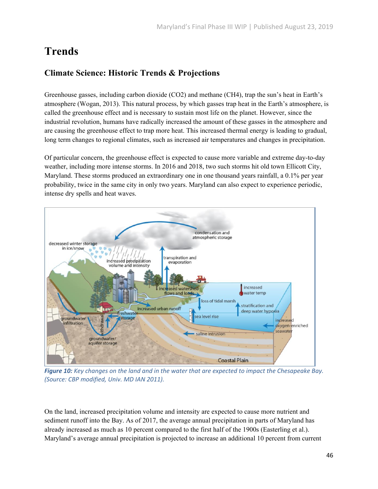## **Trends**

### **Climate Science: Historic Trends & Projections**

Greenhouse gasses, including carbon dioxide (CO2) and methane (CH4), trap the sun's heat in Earth's atmosphere (Wogan, 2013). This natural process, by which gasses trap heat in the Earth's atmosphere, is called the greenhouse effect and is necessary to sustain most life on the planet. However, since the industrial revolution, humans have radically increased the amount of these gasses in the atmosphere and are causing the greenhouse effect to trap more heat. This increased thermal energy is leading to gradual, long term changes to regional climates, such as increased air temperatures and changes in precipitation.

Of particular concern, the greenhouse effect is expected to cause more variable and extreme day-to-day weather, including more intense storms. In 2016 and 2018, two such storms hit old town Ellicott City, Maryland. These storms produced an extraordinary one in one thousand years rainfall, a 0.1% per year probability, twice in the same city in only two years. Maryland can also expect to experience periodic, intense dry spells and heat waves.



Figure 10: Key changes on the land and in the water that are expected to impact the Chesapeake Bay. *(Source: CBP modified, Univ. MD IAN 2011).*

On the land, increased precipitation volume and intensity are expected to cause more nutrient and sediment runoff into the Bay. As of 2017, the average annual precipitation in parts of Maryland has already increased as much as 10 percent compared to the first half of the 1900s (Easterling et al.). Maryland's average annual precipitation is projected to increase an additional 10 percent from current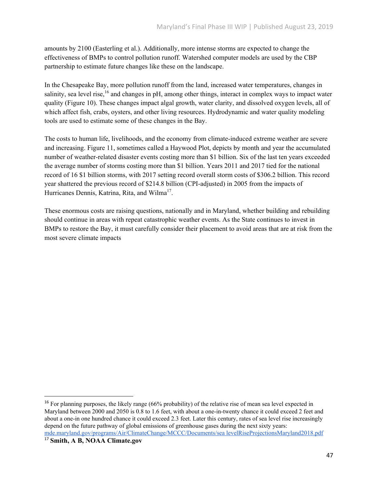amounts by 2100 (Easterling et al.). Additionally, more intense storms are expected to change the effectiveness of BMPs to control pollution runoff. Watershed computer models are used by the CBP partnership to estimate future changes like these on the landscape.

In the Chesapeake Bay, more pollution runoff from the land, increased water temperatures, changes in salinity, sea level rise,<sup>16</sup> and changes in pH, among other things, interact in complex ways to impact water quality (Figure 10). These changes impact algal growth, water clarity, and dissolved oxygen levels, all of which affect fish, crabs, oysters, and other living resources. Hydrodynamic and water quality modeling tools are used to estimate some of these changes in the Bay.

The costs to human life, livelihoods, and the economy from climate-induced extreme weather are severe and increasing. Figure 11, sometimes called a Haywood Plot, depicts by month and year the accumulated number of weather-related disaster events costing more than \$1 billion. Six of the last ten years exceeded the average number of storms costing more than \$1 billion. Years 2011 and 2017 tied for the national record of 16 \$1 billion storms, with 2017 setting record overall storm costs of \$306.2 billion. This record year shattered the previous record of \$214.8 billion (CPI-adjusted) in 2005 from the impacts of Hurricanes Dennis, Katrina, Rita, and Wilma<sup>17</sup>.

These enormous costs are raising questions, nationally and in Maryland, whether building and rebuilding should continue in areas with repeat catastrophic weather events. As the State continues to invest in BMPs to restore the Bay, it must carefully consider their placement to avoid areas that are at risk from the most severe climate impacts

<sup>&</sup>lt;sup>16</sup> For planning purposes, the likely range (66% probability) of the relative rise of mean sea level expected in Maryland between 2000 and 2050 is 0.8 to 1.6 feet, with about a one-in-twenty chance it could exceed 2 feet and about a one-in one hundred chance it could exceed 2.3 feet. Later this century, rates of sea level rise increasingly depend on the future pathway of global emissions of greenhouse gases during the next sixty years: mde.maryland.gov/programs/Air/ClimateChange/MCCC/Documents/sea levelRiseProjectionsMaryland2018.pdf

<sup>17</sup> **Smith, A B, NOAA Climate.gov**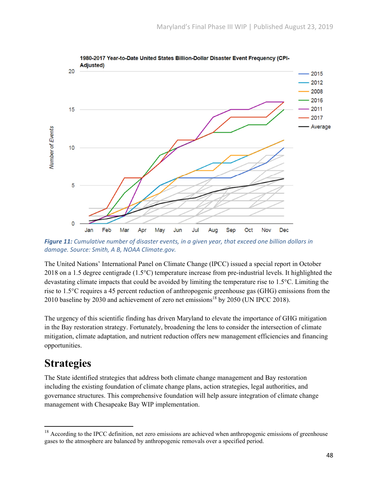

*Figure 11: Cumulative number of disaster events, in a given year, that exceed one billion dollars in damage. Source: Smith, A B, NOAA Climate.gov.*

The United Nations' International Panel on Climate Change (IPCC) issued a special report in October 2018 on a 1.5 degree centigrade (1.5°C) temperature increase from pre-industrial levels. It highlighted the devastating climate impacts that could be avoided by limiting the temperature rise to 1.5°C. Limiting the rise to 1.5°C requires a 45 percent reduction of anthropogenic greenhouse gas (GHG) emissions from the 2010 baseline by 2030 and achievement of zero net emissions<sup>18</sup> by 2050 (UN IPCC 2018).

The urgency of this scientific finding has driven Maryland to elevate the importance of GHG mitigation in the Bay restoration strategy. Fortunately, broadening the lens to consider the intersection of climate mitigation, climate adaptation, and nutrient reduction offers new management efficiencies and financing opportunities.

## **Strategies**

The State identified strategies that address both climate change management and Bay restoration including the existing foundation of climate change plans, action strategies, legal authorities, and governance structures. This comprehensive foundation will help assure integration of climate change management with Chesapeake Bay WIP implementation.

<sup>&</sup>lt;sup>18</sup> According to the IPCC definition, net zero emissions are achieved when anthropogenic emissions of greenhouse gases to the atmosphere are balanced by anthropogenic removals over a specified period.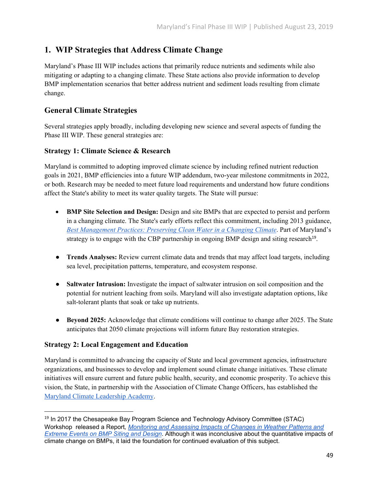### **1. WIP Strategies that Address Climate Change**

Maryland's Phase III WIP includes actions that primarily reduce nutrients and sediments while also mitigating or adapting to a changing climate. These State actions also provide information to develop BMP implementation scenarios that better address nutrient and sediment loads resulting from climate change.

#### **General Climate Strategies**

Several strategies apply broadly, including developing new science and several aspects of funding the Phase III WIP. These general strategies are:

#### **Strategy 1: Climate Science & Research**

Maryland is committed to adopting improved climate science by including refined nutrient reduction goals in 2021, BMP efficiencies into a future WIP addendum, two-year milestone commitments in 2022, or both. Research may be needed to meet future load requirements and understand how future conditions affect the State's ability to meet its water quality targets. The State will pursue:

- **BMP Site Selection and Design:** Design and site BMPs that are expected to persist and perform in a changing climate. The State's early efforts reflect this commitment, including 2013 guidance, *Best Management Practices: Preserving Clean Water in a Changing Climate*. Part of Maryland's strategy is to engage with the CBP partnership in ongoing BMP design and siting research<sup>19</sup>.
- **Trends Analyses:** Review current climate data and trends that may affect load targets, including sea level, precipitation patterns, temperature, and ecosystem response.
- **Saltwater Intrusion:** Investigate the impact of saltwater intrusion on soil composition and the potential for nutrient leaching from soils. Maryland will also investigate adaptation options, like salt-tolerant plants that soak or take up nutrients.
- **Beyond 2025:** Acknowledge that climate conditions will continue to change after 2025. The State anticipates that 2050 climate projections will inform future Bay restoration strategies.

#### **Strategy 2: Local Engagement and Education**

Maryland is committed to advancing the capacity of State and local government agencies, infrastructure organizations, and businesses to develop and implement sound climate change initiatives. These climate initiatives will ensure current and future public health, security, and economic prosperity. To achieve this vision, the State, in partnership with the Association of Climate Change Officers, has established the Maryland Climate Leadership Academy.

 $19$  In 2017 the Chesapeake Bay Program Science and Technology Advisory Committee (STAC) Workshop released a Report*, Monitoring and Assessing Impacts of Changes in Weather Patterns and Extreme Events on BMP Siting and Design*. Although it was inconclusive about the quantitative impacts of climate change on BMPs, it laid the foundation for continued evaluation of this subject.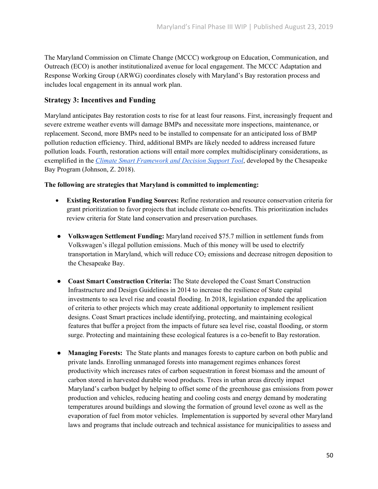The Maryland Commission on Climate Change (MCCC) workgroup on Education, Communication, and Outreach (ECO) is another institutionalized avenue for local engagement. The MCCC Adaptation and Response Working Group (ARWG) coordinates closely with Maryland's Bay restoration process and includes local engagement in its annual work plan.

#### **Strategy 3: Incentives and Funding**

Maryland anticipates Bay restoration costs to rise for at least four reasons. First, increasingly frequent and severe extreme weather events will damage BMPs and necessitate more inspections, maintenance, or replacement. Second, more BMPs need to be installed to compensate for an anticipated loss of BMP pollution reduction efficiency. Third, additional BMPs are likely needed to address increased future pollution loads. Fourth, restoration actions will entail more complex multidisciplinary considerations, as exemplified in the *Climate Smart Framework and Decision Support Tool*, developed by the Chesapeake Bay Program (Johnson, Z. 2018).

#### **The following are strategies that Maryland is committed to implementing:**

- **Existing Restoration Funding Sources:** Refine restoration and resource conservation criteria for grant prioritization to favor projects that include climate co-benefits. This prioritization includes review criteria for State land conservation and preservation purchases.
- **Volkswagen Settlement Funding:** Maryland received \$75.7 million in settlement funds from Volkswagen's illegal pollution emissions. Much of this money will be used to electrify transportation in Maryland, which will reduce  $CO<sub>2</sub>$  emissions and decrease nitrogen deposition to the Chesapeake Bay.
- **Coast Smart Construction Criteria:** The State developed the Coast Smart Construction Infrastructure and Design Guidelines in 2014 to increase the resilience of State capital investments to sea level rise and coastal flooding. In 2018, legislation expanded the application of criteria to other projects which may create additional opportunity to implement resilient designs. Coast Smart practices include identifying, protecting, and maintaining ecological features that buffer a project from the impacts of future sea level rise, coastal flooding, or storm surge. Protecting and maintaining these ecological features is a co-benefit to Bay restoration.
- **Managing Forests:** The State plants and manages forests to capture carbon on both public and private lands. Enrolling unmanaged forests into management regimes enhances forest productivity which increases rates of carbon sequestration in forest biomass and the amount of carbon stored in harvested durable wood products. Trees in urban areas directly impact Maryland's carbon budget by helping to offset some of the greenhouse gas emissions from power production and vehicles, reducing heating and cooling costs and energy demand by moderating temperatures around buildings and slowing the formation of ground level ozone as well as the evaporation of fuel from motor vehicles. Implementation is supported by several other Maryland laws and programs that include outreach and technical assistance for municipalities to assess and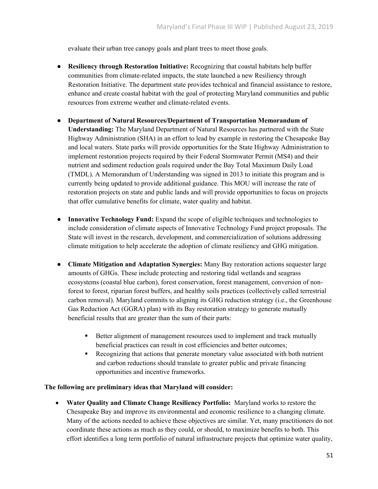evaluate their urban tree canopy goals and plant trees to meet those goals.

- **Resiliency through Restoration Initiative:** Recognizing that coastal habitats help buffer communities from climate-related impacts, the state launched a new Resiliency through Restoration Initiative. The department state provides technical and financial assistance to restore, enhance and create coastal habitat with the goal of protecting Maryland communities and public resources from extreme weather and climate-related events.
- **Department of Natural Resources/Department of Transportation Memorandum of Understanding:** The Maryland Department of Natural Resources has partnered with the State Highway Administration (SHA) in an effort to lead by example in restoring the Chesapeake Bay and local waters. State parks will provide opportunities for the State Highway Administration to implement restoration projects required by their Federal Stormwater Permit (MS4) and their nutrient and sediment reduction goals required under the Bay Total Maximum Daily Load (TMDL). A Memorandum of Understanding was signed in 2013 to initiate this program and is currently being updated to provide additional guidance. This MOU will increase the rate of restoration projects on state and public lands and will provide opportunities to focus on projects that offer cumulative benefits for climate, water quality and habitat.
- **Innovative Technology Fund:** Expand the scope of eligible techniques and technologies to include consideration of climate aspects of Innovative Technology Fund project proposals. The State will invest in the research, development, and commercialization of solutions addressing climate mitigation to help accelerate the adoption of climate resiliency and GHG mitigation.
- **Climate Mitigation and Adaptation Synergies:** Many Bay restoration actions sequester large amounts of GHGs. These include protecting and restoring tidal wetlands and seagrass ecosystems (coastal blue carbon), forest conservation, forest management, conversion of nonforest to forest, riparian forest buffers, and healthy soils practices (collectively called terrestrial carbon removal). Maryland commits to aligning its GHG reduction strategy (i.e., the Greenhouse Gas Reduction Act (GGRA) plan) with its Bay restoration strategy to generate mutually beneficial results that are greater than the sum of their parts:
	- Better alignment of management resources used to implement and track mutually beneficial practices can result in cost efficiencies and better outcomes;
	- Recognizing that actions that generate monetary value associated with both nutrient and carbon reductions should translate to greater public and private financing opportunities and incentive frameworks.

#### **The following are preliminary ideas that Maryland will consider:**

 **Water Quality and Climate Change Resiliency Portfolio:** Maryland works to restore the Chesapeake Bay and improve its environmental and economic resilience to a changing climate. Many of the actions needed to achieve these objectives are similar. Yet, many practitioners do not coordinate these actions as much as they could, or should, to maximize benefits to both. This effort identifies a long term portfolio of natural infrastructure projects that optimize water quality,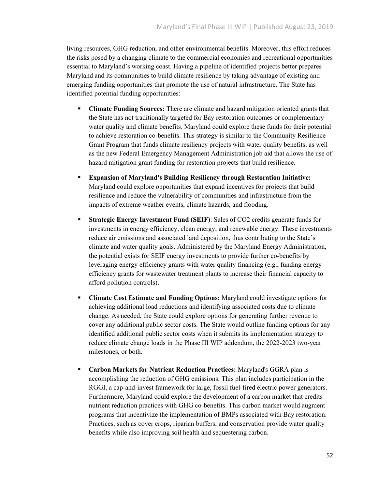living resources, GHG reduction, and other environmental benefits. Moreover, this effort reduces the risks posed by a changing climate to the commercial economies and recreational opportunities essential to Maryland's working coast. Having a pipeline of identified projects better prepares Maryland and its communities to build climate resilience by taking advantage of existing and emerging funding opportunities that promote the use of natural infrastructure. The State has identified potential funding opportunities:

- **Climate Funding Sources:** There are climate and hazard mitigation oriented grants that the State has not traditionally targeted for Bay restoration outcomes or complementary water quality and climate benefits. Maryland could explore these funds for their potential to achieve restoration co-benefits. This strategy is similar to the Community Resilience Grant Program that funds climate resiliency projects with water quality benefits, as well as the new Federal Emergency Management Administration job aid that allows the use of hazard mitigation grant funding for restoration projects that build resilience.
- **Expansion of Maryland's Building Resiliency through Restoration Initiative:** Maryland could explore opportunities that expand incentives for projects that build resilience and reduce the vulnerability of communities and infrastructure from the impacts of extreme weather events, climate hazards, and flooding.
- **Strategic Energy Investment Fund (SEIF)**: Sales of CO2 credits generate funds for investments in energy efficiency, clean energy, and renewable energy. These investments reduce air emissions and associated land deposition, thus contributing to the State's climate and water quality goals. Administered by the Maryland Energy Administration, the potential exists for SEIF energy investments to provide further co-benefits by leveraging energy efficiency grants with water quality financing (e.g., funding energy efficiency grants for wastewater treatment plants to increase their financial capacity to afford pollution controls).
- **Climate Cost Estimate and Funding Options:** Maryland could investigate options for achieving additional load reductions and identifying associated costs due to climate change. As needed, the State could explore options for generating further revenue to cover any additional public sector costs. The State would outline funding options for any identified additional public sector costs when it submits its implementation strategy to reduce climate change loads in the Phase III WIP addendum, the 2022-2023 two-year milestones, or both.
- **Carbon Markets for Nutrient Reduction Practices:** Maryland's GGRA plan is accomplishing the reduction of GHG emissions. This plan includes participation in the RGGI, a cap-and-invest framework for large, fossil fuel-fired electric power generators. Furthermore, Maryland could explore the development of a carbon market that credits nutrient reduction practices with GHG co-benefits. This carbon market would augment programs that incentivize the implementation of BMPs associated with Bay restoration. Practices, such as cover crops, riparian buffers, and conservation provide water quality benefits while also improving soil health and sequestering carbon.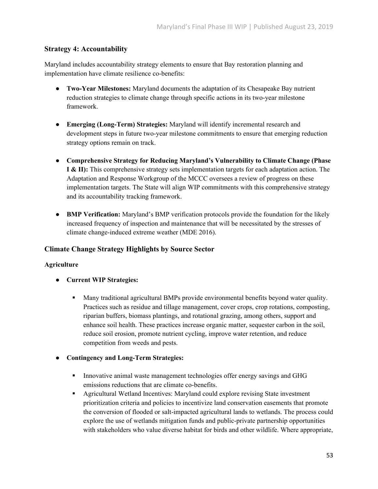#### **Strategy 4: Accountability**

Maryland includes accountability strategy elements to ensure that Bay restoration planning and implementation have climate resilience co-benefits:

- **Two-Year Milestones:** Maryland documents the adaptation of its Chesapeake Bay nutrient reduction strategies to climate change through specific actions in its two-year milestone framework.
- **Emerging (Long-Term) Strategies:** Maryland will identify incremental research and development steps in future two-year milestone commitments to ensure that emerging reduction strategy options remain on track.
- **Comprehensive Strategy for Reducing Maryland's Vulnerability to Climate Change (Phase I & II):** This comprehensive strategy sets implementation targets for each adaptation action. The Adaptation and Response Workgroup of the MCCC oversees a review of progress on these implementation targets. The State will align WIP commitments with this comprehensive strategy and its accountability tracking framework.
- **BMP Verification:** Maryland's BMP verification protocols provide the foundation for the likely increased frequency of inspection and maintenance that will be necessitated by the stresses of climate change-induced extreme weather (MDE 2016).

#### **Climate Change Strategy Highlights by Source Sector**

#### **Agriculture**

- **Current WIP Strategies:**
	- Many traditional agricultural BMPs provide environmental benefits beyond water quality. Practices such as residue and tillage management, cover crops, crop rotations, composting, riparian buffers, biomass plantings, and rotational grazing, among others, support and enhance soil health. These practices increase organic matter, sequester carbon in the soil, reduce soil erosion, promote nutrient cycling, improve water retention, and reduce competition from weeds and pests.

#### ● **Contingency and Long-Term Strategies:**

- Innovative animal waste management technologies offer energy savings and GHG emissions reductions that are climate co-benefits.
- Agricultural Wetland Incentives: Maryland could explore revising State investment prioritization criteria and policies to incentivize land conservation easements that promote the conversion of flooded or salt-impacted agricultural lands to wetlands. The process could explore the use of wetlands mitigation funds and public-private partnership opportunities with stakeholders who value diverse habitat for birds and other wildlife. Where appropriate,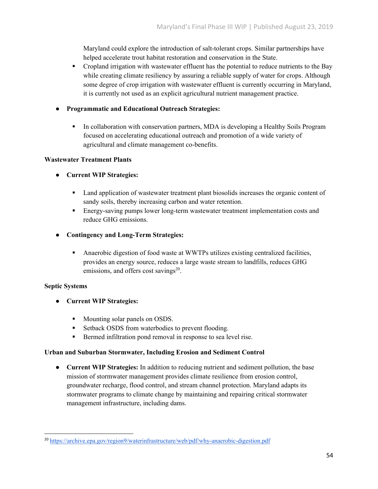Maryland could explore the introduction of salt-tolerant crops. Similar partnerships have helped accelerate trout habitat restoration and conservation in the State.

- Cropland irrigation with wastewater effluent has the potential to reduce nutrients to the Bay while creating climate resiliency by assuring a reliable supply of water for crops. Although some degree of crop irrigation with wastewater effluent is currently occurring in Maryland, it is currently not used as an explicit agricultural nutrient management practice.
- **Programmatic and Educational Outreach Strategies:** 
	- In collaboration with conservation partners, MDA is developing a Healthy Soils Program focused on accelerating educational outreach and promotion of a wide variety of agricultural and climate management co-benefits.

#### **Wastewater Treatment Plants**

#### ● **Current WIP Strategies:**

- Land application of wastewater treatment plant biosolids increases the organic content of sandy soils, thereby increasing carbon and water retention.
- **Energy-saving pumps lower long-term wastewater treatment implementation costs and** reduce GHG emissions.
- **Contingency and Long-Term Strategies:** 
	- Anaerobic digestion of food waste at WWTPs utilizes existing centralized facilities, provides an energy source, reduces a large waste stream to landfills, reduces GHG emissions, and offers cost savings $^{20}$ .

#### **Septic Systems**

- **Current WIP Strategies:** 
	- Mounting solar panels on OSDS.
	- Setback OSDS from waterbodies to prevent flooding.
	- Bermed infiltration pond removal in response to sea level rise.

#### **Urban and Suburban Stormwater, Including Erosion and Sediment Control**

● **Current WIP Strategies:** In addition to reducing nutrient and sediment pollution, the base mission of stormwater management provides climate resilience from erosion control, groundwater recharge, flood control, and stream channel protection. Maryland adapts its stormwater programs to climate change by maintaining and repairing critical stormwater management infrastructure, including dams.

<sup>20</sup> https://archive.epa.gov/region9/waterinfrastructure/web/pdf/why-anaerobic-digestion.pdf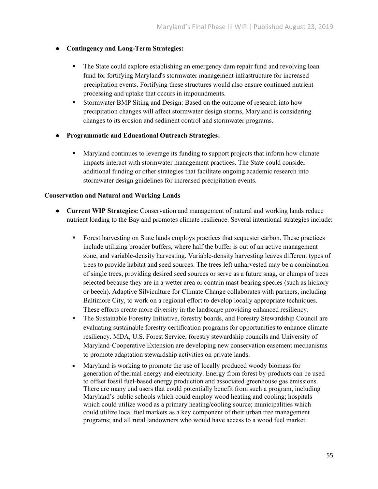#### ● **Contingency and Long-Term Strategies:**

- The State could explore establishing an emergency dam repair fund and revolving loan fund for fortifying Maryland's stormwater management infrastructure for increased precipitation events. Fortifying these structures would also ensure continued nutrient processing and uptake that occurs in impoundments.
- Stormwater BMP Siting and Design: Based on the outcome of research into how precipitation changes will affect stormwater design storms, Maryland is considering changes to its erosion and sediment control and stormwater programs.

#### ● **Programmatic and Educational Outreach Strategies:**

 Maryland continues to leverage its funding to support projects that inform how climate impacts interact with stormwater management practices. The State could consider additional funding or other strategies that facilitate ongoing academic research into stormwater design guidelines for increased precipitation events.

#### **Conservation and Natural and Working Lands**

- **Current WIP Strategies:** Conservation and management of natural and working lands reduce nutrient loading to the Bay and promotes climate resilience. Several intentional strategies include:
	- **Forest harvesting on State lands employs practices that sequester carbon. These practices** include utilizing broader buffers, where half the buffer is out of an active management zone, and variable-density harvesting. Variable-density harvesting leaves different types of trees to provide habitat and seed sources. The trees left unharvested may be a combination of single trees, providing desired seed sources or serve as a future snag, or clumps of trees selected because they are in a wetter area or contain mast-bearing species (such as hickory or beech). Adaptive Silviculture for Climate Change collaborates with partners, including Baltimore City, to work on a regional effort to develop locally appropriate techniques. These efforts create more diversity in the landscape providing enhanced resiliency.
	- The Sustainable Forestry Initiative, forestry boards, and Forestry Stewardship Council are evaluating sustainable forestry certification programs for opportunities to enhance climate resiliency. MDA, U.S. Forest Service, forestry stewardship councils and University of Maryland-Cooperative Extension are developing new conservation easement mechanisms to promote adaptation stewardship activities on private lands.
	- Maryland is working to promote the use of locally produced woody biomass for generation of thermal energy and electricity. Energy from forest by-products can be used to offset fossil fuel-based energy production and associated greenhouse gas emissions. There are many end users that could potentially benefit from such a program, including Maryland's public schools which could employ wood heating and cooling; hospitals which could utilize wood as a primary heating/cooling source; municipalities which could utilize local fuel markets as a key component of their urban tree management programs; and all rural landowners who would have access to a wood fuel market.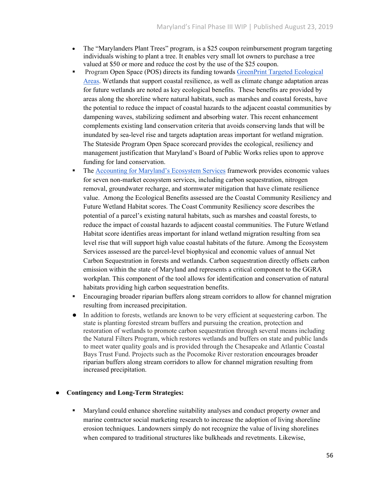- The "Marylanders Plant Trees" program, is a \$25 coupon reimbursement program targeting individuals wishing to plant a tree. It enables very small lot owners to purchase a tree valued at \$50 or more and reduce the cost by the use of the \$25 coupon.
- Program Open Space (POS) directs its funding towards GreenPrint Targeted Ecological Areas. Wetlands that support coastal resilience, as well as climate change adaptation areas for future wetlands are noted as key ecological benefits. These benefits are provided by areas along the shoreline where natural habitats, such as marshes and coastal forests, have the potential to reduce the impact of coastal hazards to the adjacent coastal communities by dampening waves, stabilizing sediment and absorbing water. This recent enhancement complements existing land conservation criteria that avoids conserving lands that will be inundated by sea-level rise and targets adaptation areas important for wetland migration. The Stateside Program Open Space scorecard provides the ecological, resiliency and management justification that Maryland's Board of Public Works relies upon to approve funding for land conservation.
- The Accounting for Maryland's Ecosystem Services framework provides economic values for seven non-market ecosystem services, including carbon sequestration, nitrogen removal, groundwater recharge, and stormwater mitigation that have climate resilience value. Among the Ecological Benefits assessed are the Coastal Community Resiliency and Future Wetland Habitat scores. The Coast Community Resiliency score describes the potential of a parcel's existing natural habitats, such as marshes and coastal forests, to reduce the impact of coastal hazards to adjacent coastal communities. The Future Wetland Habitat score identifies areas important for inland wetland migration resulting from sea level rise that will support high value coastal habitats of the future. Among the Ecosystem Services assessed are the parcel-level biophysical and economic values of annual Net Carbon Sequestration in forests and wetlands. Carbon sequestration directly offsets carbon emission within the state of Maryland and represents a critical component to the GGRA workplan. This component of the tool allows for identification and conservation of natural habitats providing high carbon sequestration benefits.
- Encouraging broader riparian buffers along stream corridors to allow for channel migration resulting from increased precipitation.
- In addition to forests, wetlands are known to be very efficient at sequestering carbon. The state is planting forested stream buffers and pursuing the creation, protection and restoration of wetlands to promote carbon sequestration through several means including the Natural Filters Program, which restores wetlands and buffers on state and public lands to meet water quality goals and is provided through the Chesapeake and Atlantic Coastal Bays Trust Fund. Projects such as the Pocomoke River restoration encourages broader riparian buffers along stream corridors to allow for channel migration resulting from increased precipitation.

#### ● **Contingency and Long-Term Strategies:**

 Maryland could enhance shoreline suitability analyses and conduct property owner and marine contractor social marketing research to increase the adoption of living shoreline erosion techniques. Landowners simply do not recognize the value of living shorelines when compared to traditional structures like bulkheads and revetments. Likewise,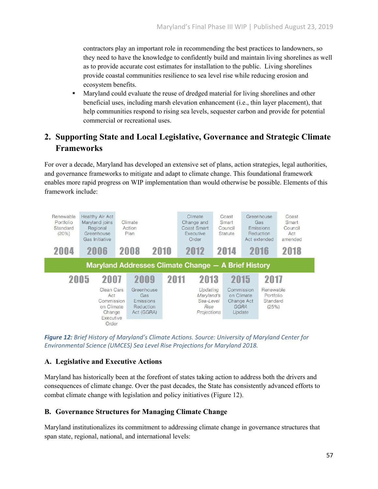contractors play an important role in recommending the best practices to landowners, so they need to have the knowledge to confidently build and maintain living shorelines as well as to provide accurate cost estimates for installation to the public. Living shorelines provide coastal communities resilience to sea level rise while reducing erosion and ecosystem benefits.

 Maryland could evaluate the reuse of dredged material for living shorelines and other beneficial uses, including marsh elevation enhancement (i.e., thin layer placement), that help communities respond to rising sea levels, sequester carbon and provide for potential commercial or recreational uses.

### **2. Supporting State and Local Legislative, Governance and Strategic Climate Frameworks**

For over a decade, Maryland has developed an extensive set of plans, action strategies, legal authorities, and governance frameworks to mitigate and adapt to climate change. This foundational framework enables more rapid progress on WIP implementation than would otherwise be possible. Elements of this framework include:



*Figure 12: Brief History of Maryland's Climate Actions. Source: University of Maryland Center for Environmental Science (UMCES) Sea Level Rise Projections for Maryland 2018.*

#### **A. Legislative and Executive Actions**

Maryland has historically been at the forefront of states taking action to address both the drivers and consequences of climate change. Over the past decades, the State has consistently advanced efforts to combat climate change with legislation and policy initiatives (Figure 12).

#### **B. Governance Structures for Managing Climate Change**

Maryland institutionalizes its commitment to addressing climate change in governance structures that span state, regional, national, and international levels: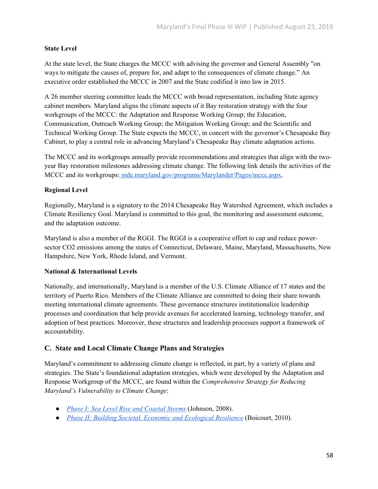#### **State Level**

At the state level, the State charges the MCCC with advising the governor and General Assembly "on ways to mitigate the causes of, prepare for, and adapt to the consequences of climate change." An executive order established the MCCC in 2007 and the State codified it into law in 2015.

A 26 member steering committee leads the MCCC with broad representation, including State agency cabinet members. Maryland aligns the climate aspects of it Bay restoration strategy with the four workgroups of the MCCC: the Adaptation and Response Working Group; the Education, Communication, Outreach Working Group; the Mitigation Working Group; and the Scientific and Technical Working Group. The State expects the MCCC, in concert with the governor's Chesapeake Bay Cabinet, to play a central role in advancing Maryland's Chesapeake Bay climate adaptation actions.

The MCCC and its workgroups annually provide recommendations and strategies that align with the twoyear Bay restoration milestones addressing climate change. The following link details the activities of the MCCC and its workgroups: mde.maryland.gov/programs/Marylander/Pages/mccc.aspx.

#### **Regional Level**

Regionally, Maryland is a signatory to the 2014 Chesapeake Bay Watershed Agreement, which includes a Climate Resiliency Goal. Maryland is committed to this goal, the monitoring and assessment outcome, and the adaptation outcome.

Maryland is also a member of the RGGI. The RGGI is a cooperative effort to cap and reduce powersector CO2 emissions among the states of Connecticut, Delaware, Maine, Maryland, Massachusetts, New Hampshire, New York, Rhode Island, and Vermont.

#### **National & International Levels**

Nationally, and internationally, Maryland is a member of the U.S. Climate Alliance of 17 states and the territory of Puerto Rico. Members of the Climate Alliance are committed to doing their share towards meeting international climate agreements. These governance structures institutionalize leadership processes and coordination that help provide avenues for accelerated learning, technology transfer, and adoption of best practices. Moreover, these structures and leadership processes support a framework of accountability.

#### **C. State and Local Climate Change Plans and Strategies**

Maryland's commitment to addressing climate change is reflected, in part, by a variety of plans and strategies. The State's foundational adaptation strategies, which were developed by the Adaptation and Response Workgroup of the MCCC, are found within the *Comprehensive Strategy for Reducing Maryland's Vulnerability to Climate Change*:

- *Phase I: Sea Level Rise and Coastal Storms* (Johnson, 2008).
- *Phase II: Building Societal, Economic and Ecological Resilience* (Boicourt, 2010).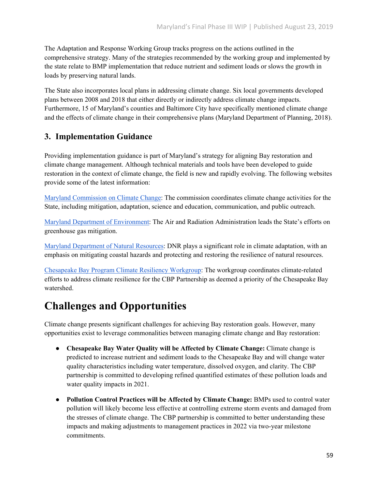The Adaptation and Response Working Group tracks progress on the actions outlined in the comprehensive strategy. Many of the strategies recommended by the working group and implemented by the state relate to BMP implementation that reduce nutrient and sediment loads or slows the growth in loads by preserving natural lands.

The State also incorporates local plans in addressing climate change. Six local governments developed plans between 2008 and 2018 that either directly or indirectly address climate change impacts. Furthermore, 15 of Maryland's counties and Baltimore City have specifically mentioned climate change and the effects of climate change in their comprehensive plans (Maryland Department of Planning, 2018).

### **3. Implementation Guidance**

Providing implementation guidance is part of Maryland's strategy for aligning Bay restoration and climate change management. Although technical materials and tools have been developed to guide restoration in the context of climate change, the field is new and rapidly evolving. The following websites provide some of the latest information:

Maryland Commission on Climate Change: The commission coordinates climate change activities for the State, including mitigation, adaptation, science and education, communication, and public outreach.

Maryland Department of Environment: The Air and Radiation Administration leads the State's efforts on greenhouse gas mitigation.

Maryland Department of Natural Resources: DNR plays a significant role in climate adaptation, with an emphasis on mitigating coastal hazards and protecting and restoring the resilience of natural resources.

Chesapeake Bay Program Climate Resiliency Workgroup: The workgroup coordinates climate-related efforts to address climate resilience for the CBP Partnership as deemed a priority of the Chesapeake Bay watershed.

## **Challenges and Opportunities**

Climate change presents significant challenges for achieving Bay restoration goals. However, many opportunities exist to leverage commonalities between managing climate change and Bay restoration:

- **Chesapeake Bay Water Quality will be Affected by Climate Change:** Climate change is predicted to increase nutrient and sediment loads to the Chesapeake Bay and will change water quality characteristics including water temperature, dissolved oxygen, and clarity. The CBP partnership is committed to developing refined quantified estimates of these pollution loads and water quality impacts in 2021.
- **Pollution Control Practices will be Affected by Climate Change:** BMPs used to control water pollution will likely become less effective at controlling extreme storm events and damaged from the stresses of climate change. The CBP partnership is committed to better understanding these impacts and making adjustments to management practices in 2022 via two-year milestone commitments.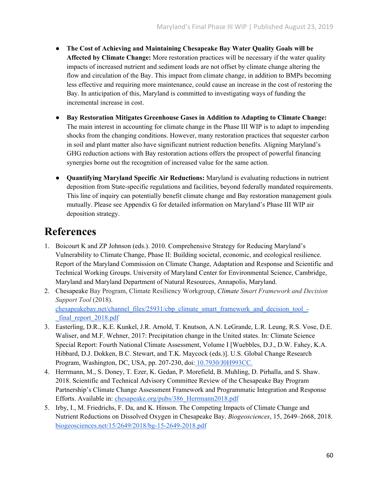- **The Cost of Achieving and Maintaining Chesapeake Bay Water Quality Goals will be Affected by Climate Change:** More restoration practices will be necessary if the water quality impacts of increased nutrient and sediment loads are not offset by climate change altering the flow and circulation of the Bay. This impact from climate change, in addition to BMPs becoming less effective and requiring more maintenance, could cause an increase in the cost of restoring the Bay. In anticipation of this, Maryland is committed to investigating ways of funding the incremental increase in cost.
- **Bay Restoration Mitigates Greenhouse Gases in Addition to Adapting to Climate Change:** The main interest in accounting for climate change in the Phase III WIP is to adapt to impending shocks from the changing conditions. However, many restoration practices that sequester carbon in soil and plant matter also have significant nutrient reduction benefits. Aligning Maryland's GHG reduction actions with Bay restoration actions offers the prospect of powerful financing synergies borne out the recognition of increased value for the same action.
- **Quantifying Maryland Specific Air Reductions:** Maryland is evaluating reductions in nutrient deposition from State-specific regulations and facilities, beyond federally mandated requirements. This line of inquiry can potentially benefit climate change and Bay restoration management goals mutually. Please see Appendix G for detailed information on Maryland's Phase III WIP air deposition strategy.

## **References**

- 1. Boicourt K and ZP Johnson (eds.). 2010. Comprehensive Strategy for Reducing Maryland's Vulnerability to Climate Change, Phase II: Building societal, economic, and ecological resilience. Report of the Maryland Commission on Climate Change, Adaptation and Response and Scientific and Technical Working Groups. University of Maryland Center for Environmental Science, Cambridge, Maryland and Maryland Department of Natural Resources, Annapolis, Maryland.
- 2. Chesapeake Bay Program, Climate Resiliency Workgroup, *Climate Smart Framework and Decision Support Tool* (2018). chesapeakebay.net/channel\_files/25931/cbp\_climate\_smart\_framework\_and\_decision\_tool\_-\_final\_report\_2018.pdf
- 3. Easterling, D.R., K.E. Kunkel, J.R. Arnold, T. Knutson, A.N. LeGrande, L.R. Leung, R.S. Vose, D.E. Waliser, and M.F. Wehner, 2017: Precipitation change in the United states. In: Climate Science Special Report: Fourth National Climate Assessment, Volume I [Wuebbles, D.J., D.W. Fahey, K.A. Hibbard, D.J. Dokken, B.C. Stewart, and T.K. Maycock (eds.)]. U.S. Global Change Research Program, Washington, DC, USA, pp. 207-230, doi: 10.7930/J0H993CC.
- 4. Herrmann, M., S. Doney, T. Ezer, K. Gedan, P. Morefield, B. Muhling, D. Pirhalla, and S. Shaw. 2018. Scientific and Technical Advisory Committee Review of the Chesapeake Bay Program Partnership's Climate Change Assessment Framework and Programmatic Integration and Response Efforts. Available in: chesapeake.org/pubs/386\_Herrmann2018.pdf
- 5. Irby, I., M. Friedrichs, F. Da, and K. Hinson. The Competing Impacts of Climate Change and Nutrient Reductions on Dissolved Oxygen in Chesapeake Bay. *Biogeosciences*, 15, 2649–2668, 2018. biogeosciences.net/15/2649/2018/bg-15-2649-2018.pdf